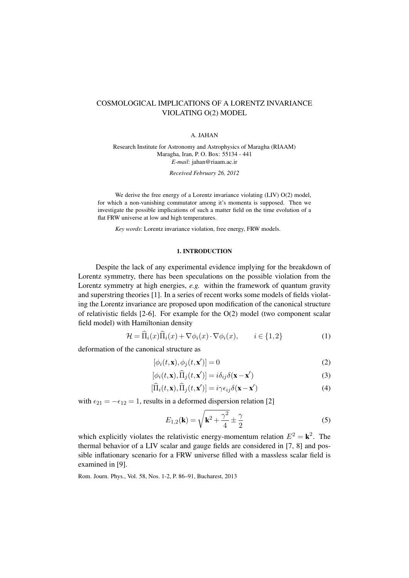# COSMOLOGICAL IMPLICATIONS OF A LORENTZ INVARIANCE VIOLATING O(2) MODEL

#### A. JAHAN

Research Institute for Astronomy and Astrophysics of Maragha (RIAAM) Maragha, Iran, P. O. Box: 55134 - 441 *E-mail*: jahan@riaam.ac.ir *Received February 26, 2012*

We derive the free energy of a Lorentz invariance violating (LIV) O(2) model, for which a non-vanishing commutator among it's momenta is supposed. Then we investigate the possible implications of such a matter field on the time evolution of a flat FRW universe at low and high temperatures.

*Key words*: Lorentz invariance violation, free energy, FRW models.

# 1. INTRODUCTION

Despite the lack of any experimental evidence implying for the breakdown of Lorentz symmetry, there has been speculations on the possible violation from the Lorentz symmetry at high energies, *e.g.* within the framework of quantum gravity and superstring theories [1]. In a series of recent works some models of fields violating the Lorentz invariance are proposed upon modification of the canonical structure of relativistic fields  $[2-6]$ . For example for the  $O(2)$  model (two component scalar field model) with Hamiltonian density

$$
\mathcal{H} = \Pi_i(x)\Pi_i(x) + \nabla\phi_i(x)\cdot\nabla\phi_i(x), \qquad i \in \{1, 2\}
$$
 (1)

deformation of the canonical structure as

$$
[\phi_i(t, \mathbf{x}), \phi_j(t, \mathbf{x}')] = 0
$$
\n(2)

$$
[\phi_i(t, \mathbf{x}), \widehat{\Pi}_j(t, \mathbf{x}')] = i\delta_{ij}\delta(\mathbf{x} - \mathbf{x}') \tag{3}
$$

$$
[\widehat{\Pi}_i(t, \mathbf{x}), \widehat{\Pi}_j(t, \mathbf{x}')] = i\gamma \epsilon_{ij} \delta(\mathbf{x} - \mathbf{x}') \tag{4}
$$

with  $\epsilon_{21} = -\epsilon_{12} = 1$ , results in a deformed dispersion relation [2]

$$
E_{1,2}(\mathbf{k}) = \sqrt{\mathbf{k}^2 + \frac{\gamma^2}{4}} \pm \frac{\gamma}{2}
$$
 (5)

which explicitly violates the relativistic energy-momentum relation  $E^2 = \mathbf{k}^2$ . The thermal behavior of a LIV scalar and gauge fields are considered in [7, 8] and possible inflationary scenario for a FRW universe filled with a massless scalar field is examined in [9].

Rom. Journ. Phys., Vol. 58, Nos. 1-2, P. 86–91, Bucharest, 2013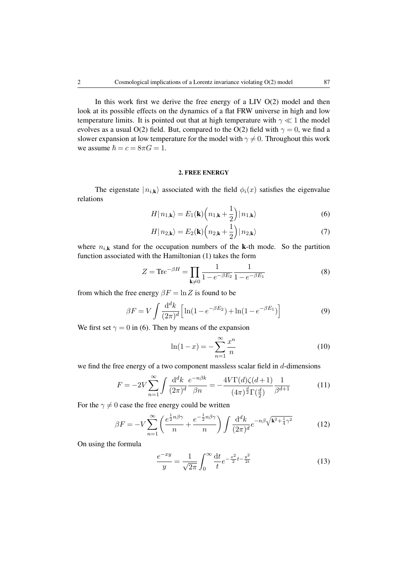In this work first we derive the free energy of a LIV  $O(2)$  model and then look at its possible effects on the dynamics of a flat FRW universe in high and low temperature limits. It is pointed out that at high temperature with  $\gamma \ll 1$  the model evolves as a usual O(2) field. But, compared to the O(2) field with  $\gamma = 0$ , we find a slower expansion at low temperature for the model with  $\gamma \neq 0$ . Throughout this work we assume  $\hbar = c = 8\pi G = 1$ .

# 2. FREE ENERGY

The eigenstate  $|n_{i,k}\rangle$  associated with the field  $\phi_i(x)$  satisfies the eigenvalue relations

$$
H|n_{1,\mathbf{k}}\rangle = E_1(\mathbf{k})\left(n_{1,\mathbf{k}} + \frac{1}{2}\right)|n_{1,\mathbf{k}}\rangle\tag{6}
$$

$$
H|n_{2,\mathbf{k}}\rangle = E_2(\mathbf{k})\left(n_{2,\mathbf{k}} + \frac{1}{2}\right)|n_{2,\mathbf{k}}\rangle\tag{7}
$$

where  $n_{i,k}$  stand for the occupation numbers of the k-th mode. So the partition function associated with the Hamiltonian (1) takes the form

$$
Z = \text{Tr}e^{-\beta H} = \prod_{\mathbf{k} \neq 0} \frac{1}{1 - e^{-\beta E_2}} \frac{1}{1 - e^{-\beta E_1}} \tag{8}
$$

from which the free energy  $\beta F = \ln Z$  is found to be

$$
\beta F = V \int \frac{\mathrm{d}^d k}{(2\pi)^d} \left[ \ln(1 - e^{-\beta E_2}) + \ln(1 - e^{-\beta E_1}) \right] \tag{9}
$$

We first set  $\gamma = 0$  in (6). Then by means of the expansion

$$
\ln(1-x) = -\sum_{n=1}^{\infty} \frac{x^n}{n}
$$
 (10)

we find the free energy of a two component massless scalar field in  $d$ -dimensions

$$
F = -2V \sum_{n=1}^{\infty} \int \frac{\mathrm{d}^d k}{(2\pi)^d} \frac{e^{-n\beta k}}{\beta n} = -\frac{4V\Gamma(d)\zeta(d+1)}{(4\pi)^{\frac{d}{2}}\Gamma(\frac{d}{2})} \frac{1}{\beta^{d+1}} \tag{11}
$$

For the  $\gamma \neq 0$  case the free energy could be written

$$
\beta F = -V \sum_{n=1}^{\infty} \left( \frac{e^{\frac{1}{2}n\beta\gamma}}{n} + \frac{e^{-\frac{1}{2}n\beta\gamma}}{n} \right) \int \frac{\mathrm{d}^d k}{(2\pi)^d} e^{-n\beta \sqrt{\mathbf{k}^2 + \frac{1}{4}\gamma^2}} \tag{12}
$$

On using the formula

$$
\frac{e^{-xy}}{y} = \frac{1}{\sqrt{2\pi}} \int_0^\infty \frac{dt}{t} e^{-\frac{x^2}{2}t - \frac{y^2}{2t}} \tag{13}
$$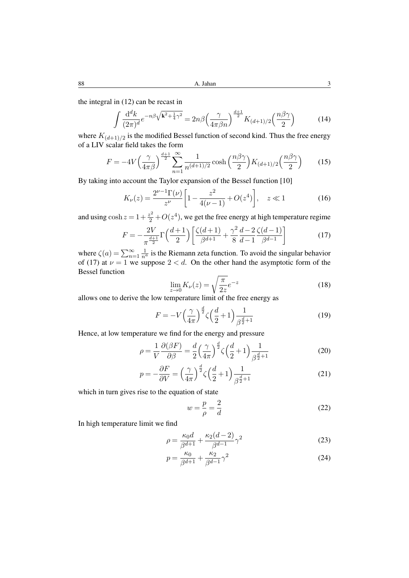88 **A. Jahan** 3

the integral in (12) can be recast in

$$
\int \frac{\mathrm{d}^d k}{(2\pi)^d} e^{-n\beta \sqrt{\mathbf{k}^2 + \frac{1}{4}\gamma^2}} = 2n\beta \left(\frac{\gamma}{4\pi\beta n}\right)^{\frac{d+1}{2}} K_{(d+1)/2} \left(\frac{n\beta\gamma}{2}\right) \tag{14}
$$

where  $K_{(d+1)/2}$  is the modified Bessel function of second kind. Thus the free energy of a LIV scalar field takes the form

$$
F = -4V \left(\frac{\gamma}{4\pi\beta}\right)^{\frac{d+1}{2}} \sum_{n=1}^{\infty} \frac{1}{n^{(d+1)/2}} \cosh\left(\frac{n\beta\gamma}{2}\right) K_{(d+1)/2} \left(\frac{n\beta\gamma}{2}\right) \tag{15}
$$

By taking into account the Taylor expansion of the Bessel function [10]

$$
K_{\nu}(z) = \frac{2^{\nu - 1}\Gamma(\nu)}{z^{\nu}} \left[ 1 - \frac{z^2}{4(\nu - 1)} + O(z^4) \right], \quad z \ll 1
$$
 (16)

and using  $\cosh z = 1 + \frac{z^2}{2} + O(z^4)$ , we get the free energy at high temperature regime

$$
F = -\frac{2V}{\pi^{\frac{d+1}{2}}} \Gamma\left(\frac{d+1}{2}\right) \left[ \frac{\zeta(d+1)}{\beta^{d+1}} + \frac{\gamma^2}{8} \frac{d-2}{d-1} \frac{\zeta(d-1)}{\beta^{d-1}} \right] \tag{17}
$$

where  $\zeta(a) = \sum_{n=1}^{\infty} \frac{1}{n^a}$  is the Riemann zeta function. To avoid the singular behavior of (17) at  $\nu = 1$  we suppose  $2 < d$ . On the other hand the asymptotic form of the Bessel function

$$
\lim_{z \to 0} K_{\nu}(z) = \sqrt{\frac{\pi}{2z}} e^{-z}
$$
\n(18)

allows one to derive the low temperature limit of the free energy as

$$
F = -V\left(\frac{\gamma}{4\pi}\right)^{\frac{d}{2}} \zeta\left(\frac{d}{2} + 1\right) \frac{1}{\beta^{\frac{d}{2}+1}}\tag{19}
$$

Hence, at low temperature we find for the energy and pressure

$$
\rho = \frac{1}{V} \frac{\partial(\beta F)}{\partial \beta} = \frac{d}{2} \left(\frac{\gamma}{4\pi}\right)^{\frac{d}{2}} \zeta\left(\frac{d}{2} + 1\right) \frac{1}{\beta^{\frac{d}{2}+1}}\tag{20}
$$

$$
p = -\frac{\partial F}{\partial V} = \left(\frac{\gamma}{4\pi}\right)^{\frac{d}{2}} \zeta \left(\frac{d}{2} + 1\right) \frac{1}{\beta^{\frac{d}{2} + 1}}\tag{21}
$$

which in turn gives rise to the equation of state

$$
w = \frac{p}{\rho} = \frac{2}{d} \tag{22}
$$

In high temperature limit we find

$$
\rho = \frac{\kappa_0 d}{\beta^{d+1}} + \frac{\kappa_2 (d-2)}{\beta^{d-1}} \gamma^2 \tag{23}
$$

$$
p = \frac{\kappa_0}{\beta^{d+1}} + \frac{\kappa_2}{\beta^{d-1}} \gamma^2
$$
 (24)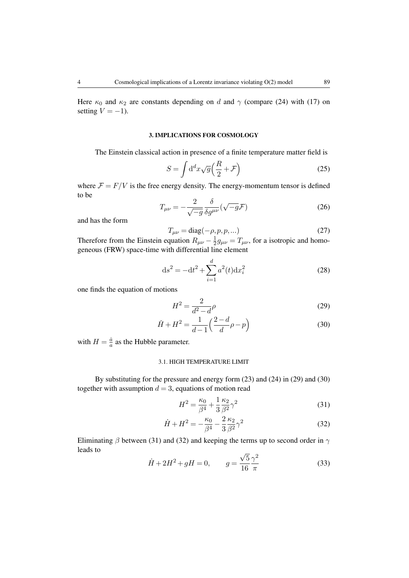Here  $\kappa_0$  and  $\kappa_2$  are constants depending on d and  $\gamma$  (compare (24) with (17) on setting  $V = -1$ ).

# 3. IMPLICATIONS FOR COSMOLOGY

The Einstein classical action in presence of a finite temperature matter field is

$$
S = \int \mathrm{d}^d x \sqrt{g} \left( \frac{R}{2} + \mathcal{F} \right) \tag{25}
$$

where  $\mathcal{F} = F/V$  is the free energy density. The energy-momentum tensor is defined to be

$$
T_{\mu\nu} = -\frac{2}{\sqrt{-g}} \frac{\delta}{\delta g^{\mu\nu}} (\sqrt{-g} \mathcal{F})
$$
\n(26)

and has the form

$$
T_{\mu\nu} = \text{diag}(-\rho, p, p, \dots) \tag{27}
$$

Therefore from the Einstein equation  $R_{\mu\nu} - \frac{1}{2}$  $\frac{1}{2}g_{\mu\nu} = T_{\mu\nu}$ , for a isotropic and homogeneous (FRW) space-time with differential line element

$$
ds^{2} = -dt^{2} + \sum_{i=1}^{d} a^{2}(t)dx_{i}^{2}
$$
 (28)

one finds the equation of motions

$$
H^2 = \frac{2}{d^2 - d}\rho\tag{29}
$$

$$
\dot{H} + H^2 = \frac{1}{d-1} \left( \frac{2-d}{d} \rho - p \right)
$$
 (30)

with  $H = \frac{\dot{a}}{a}$  $\frac{a}{a}$  as the Hubble parameter.

#### 3.1. HIGH TEMPERATURE LIMIT

By substituting for the pressure and energy form (23) and (24) in (29) and (30) together with assumption  $d = 3$ , equations of motion read

$$
H^2 = \frac{\kappa_0}{\beta^4} + \frac{1}{3} \frac{\kappa_2}{\beta^2} \gamma^2
$$
 (31)

$$
\dot{H} + H^2 = -\frac{\kappa_0}{\beta^4} - \frac{2}{3} \frac{\kappa_2}{\beta^2} \gamma^2
$$
 (32)

Eliminating  $\beta$  between (31) and (32) and keeping the terms up to second order in  $\gamma$ leads to √

$$
\dot{H} + 2H^2 + gH = 0, \qquad g = \frac{\sqrt{5}}{16} \frac{\gamma^2}{\pi}
$$
 (33)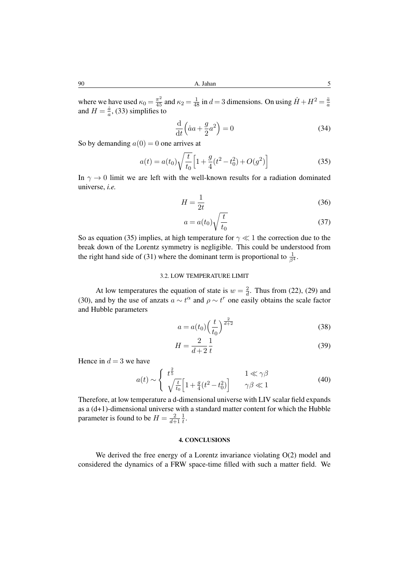where we have used  $\kappa_0 = \frac{\pi^2}{45}$  and  $\kappa_2 = \frac{1}{48}$  in  $d = 3$  dimensions. On using  $\dot{H} + H^2 = \frac{\ddot{a}}{a}$ where we have used  $\kappa_0 = \frac{45}{45}$  and  $\kappa_2 = \frac{48}{48}$  in  $a = 3$  difficultions. On using  $H + H = \frac{a}{a}$ , (33) simplifies to  $\frac{a}{a}$ , (33) simplifies to

$$
\frac{\mathrm{d}}{\mathrm{d}t}\left(\dot{a}a + \frac{g}{2}a^2\right) = 0\tag{34}
$$

So by demanding  $a(0) = 0$  one arrives at

$$
a(t) = a(t_0) \sqrt{\frac{t}{t_0}} \left[ 1 + \frac{g}{4} (t^2 - t_0^2) + O(g^2) \right]
$$
 (35)

In  $\gamma \rightarrow 0$  limit we are left with the well-known results for a radiation dominated universe, *i.e.*

$$
H = \frac{1}{2t} \tag{36}
$$

$$
a = a(t_0) \sqrt{\frac{t}{t_0}}
$$
\n(37)

So as equation (35) implies, at high temperature for  $\gamma \ll 1$  the correction due to the break down of the Lorentz symmetry is negligible. This could be understood from the right hand side of (31) where the dominant term is proportional to  $\frac{1}{\beta^4}$ .

# 3.2. LOW TEMPERATURE LIMIT

At low temperatures the equation of state is  $w = \frac{2}{d}$  $\frac{2}{d}$ . Thus from (22), (29) and (30), and by the use of anzats  $a \sim t^{\alpha}$  and  $\rho \sim t^r$  one easily obtains the scale factor and Hubble parameters

$$
a = a(t_0) \left(\frac{t}{t_0}\right)^{\frac{2}{d+2}}\tag{38}
$$

$$
H = \frac{2}{d+2} \frac{1}{t}
$$
\n<sup>(39)</sup>

Hence in  $d = 3$  we have

$$
a(t) \sim \begin{cases} t^{\frac{2}{5}} & 1 \ll \gamma \beta \\ \sqrt{\frac{t}{t_0}} \Big[ 1 + \frac{g}{4} (t^2 - t_0^2) \Big] & \gamma \beta \ll 1 \end{cases}
$$
 (40)

Therefore, at low temperature a d-dimensional universe with LIV scalar field expands as a (d+1)-dimensional universe with a standard matter content for which the Hubble parameter is found to be  $H = \frac{2}{d+1}$  $\overline{d+1}$ 1  $\frac{1}{t}$ .

### 4. CONCLUSIONS

We derived the free energy of a Lorentz invariance violating  $O(2)$  model and considered the dynamics of a FRW space-time filled with such a matter field. We